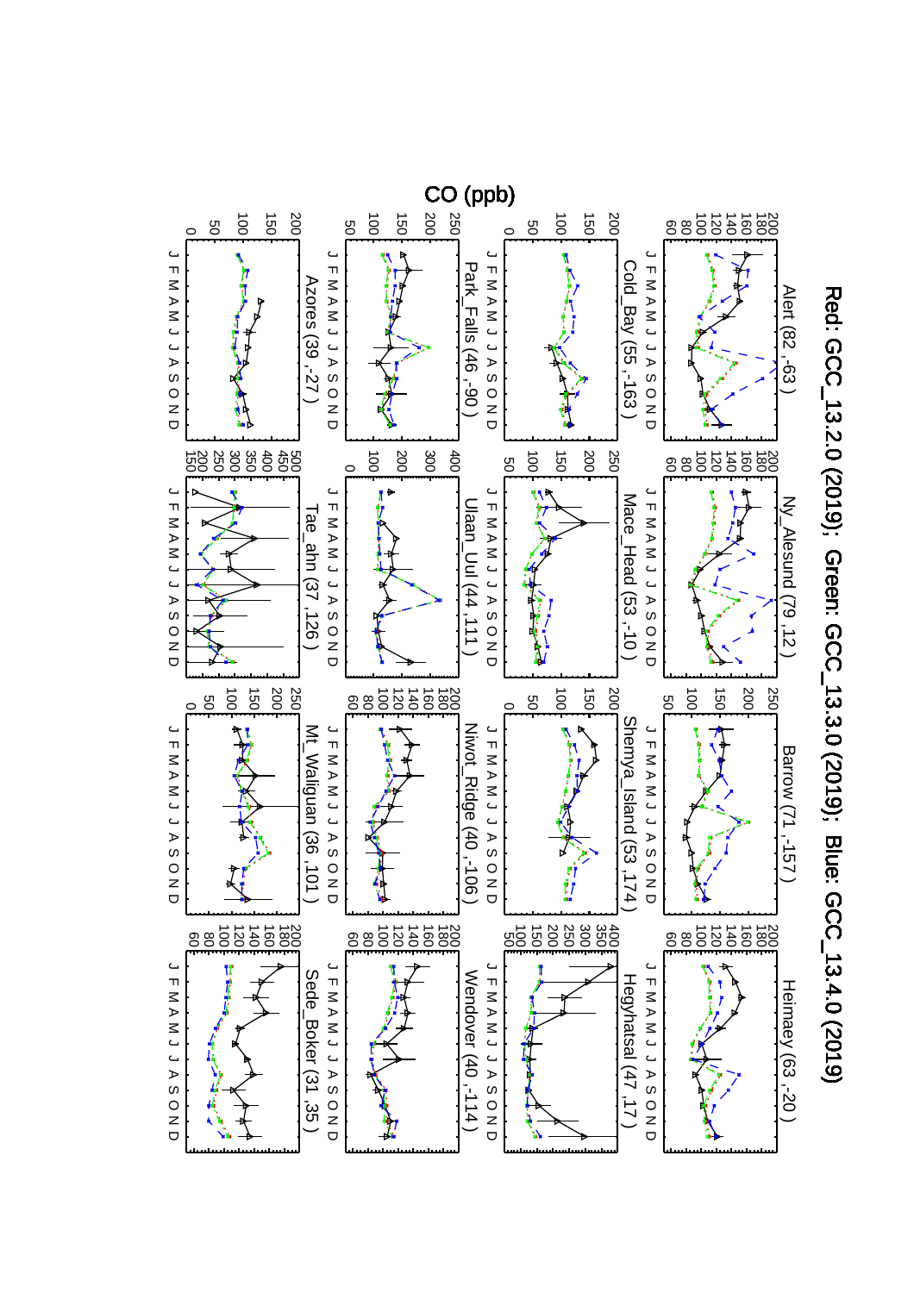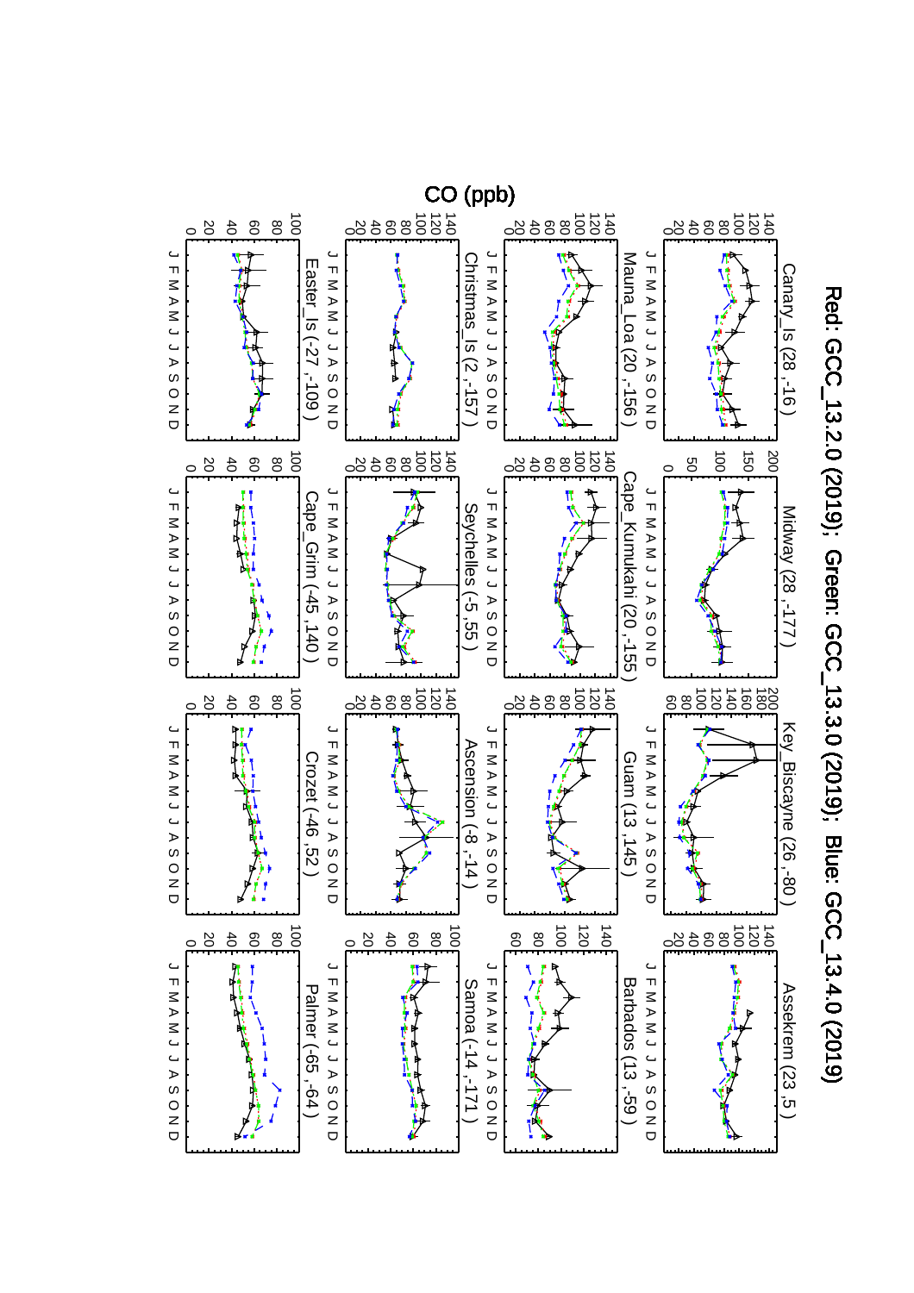

Red: GCC\_13.2.0 (2019); Green: GCC\_13.3.0 (2019); Blue: GCC\_13.4.0 (2019) Red: GCC\_13.2.0 (2019); Green: GCC\_13.3.0 (2019); Blue: GCC\_13.4.0 (2019)